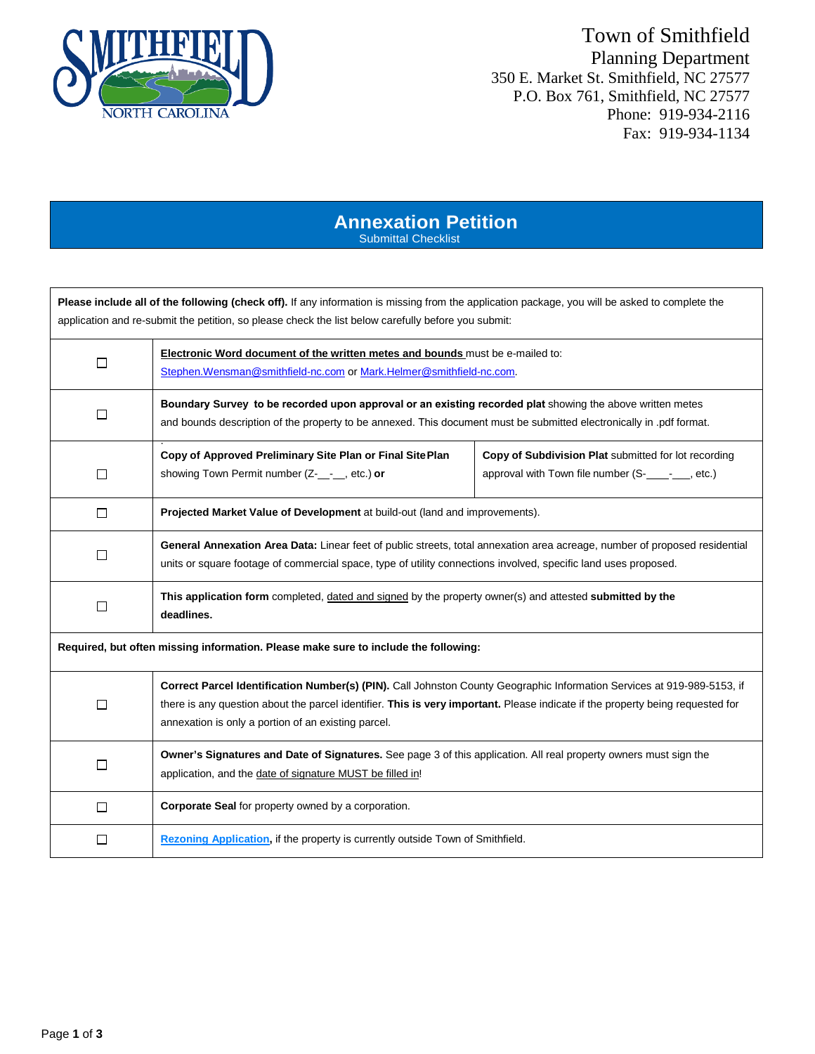

## Town of Smithfield Planning Department 350 E. Market St. Smithfield, NC 27577 P.O. Box 761, Smithfield, NC 27577 Phone: 919-934-2116 Fax: 919-934-1134

### **Annexation Petition** Submittal Checklist

**Please include all of the following (check off).** If any information is missing from the application package, you will be asked to complete the application and re-submit the petition, so please check the list below carefully before you submit:

| П                                                                                   | Electronic Word document of the written metes and bounds must be e-mailed to:<br>Stephen.Wensman@smithfield-nc.com or Mark.Helmer@smithfield-nc.com.                                                                                                                                                             |                                                                                                               |  |  |  |  |
|-------------------------------------------------------------------------------------|------------------------------------------------------------------------------------------------------------------------------------------------------------------------------------------------------------------------------------------------------------------------------------------------------------------|---------------------------------------------------------------------------------------------------------------|--|--|--|--|
| П                                                                                   | Boundary Survey to be recorded upon approval or an existing recorded plat showing the above written metes<br>and bounds description of the property to be annexed. This document must be submitted electronically in .pdf format.                                                                                |                                                                                                               |  |  |  |  |
| П                                                                                   | Copy of Approved Preliminary Site Plan or Final Site Plan<br>showing Town Permit number (Z <sub>-1, 1</sub> etc.) or                                                                                                                                                                                             | Copy of Subdivision Plat submitted for lot recording<br>approval with Town file number (S-<br>____ ___, etc.) |  |  |  |  |
| $\Box$                                                                              | Projected Market Value of Development at build-out (land and improvements).                                                                                                                                                                                                                                      |                                                                                                               |  |  |  |  |
| $\Box$                                                                              | General Annexation Area Data: Linear feet of public streets, total annexation area acreage, number of proposed residential<br>units or square footage of commercial space, type of utility connections involved, specific land uses proposed.                                                                    |                                                                                                               |  |  |  |  |
| П                                                                                   | This application form completed, dated and signed by the property owner(s) and attested submitted by the<br>deadlines.                                                                                                                                                                                           |                                                                                                               |  |  |  |  |
| Required, but often missing information. Please make sure to include the following: |                                                                                                                                                                                                                                                                                                                  |                                                                                                               |  |  |  |  |
| $\Box$                                                                              | Correct Parcel Identification Number(s) (PIN). Call Johnston County Geographic Information Services at 919-989-5153, if<br>there is any question about the parcel identifier. This is very important. Please indicate if the property being requested for<br>annexation is only a portion of an existing parcel. |                                                                                                               |  |  |  |  |
| $\Box$                                                                              | Owner's Signatures and Date of Signatures. See page 3 of this application. All real property owners must sign the<br>application, and the date of signature MUST be filled in!                                                                                                                                   |                                                                                                               |  |  |  |  |
| $\Box$                                                                              | Corporate Seal for property owned by a corporation.                                                                                                                                                                                                                                                              |                                                                                                               |  |  |  |  |
| П                                                                                   | Rezoning Application, if the property is currently outside Town of Smithfield.                                                                                                                                                                                                                                   |                                                                                                               |  |  |  |  |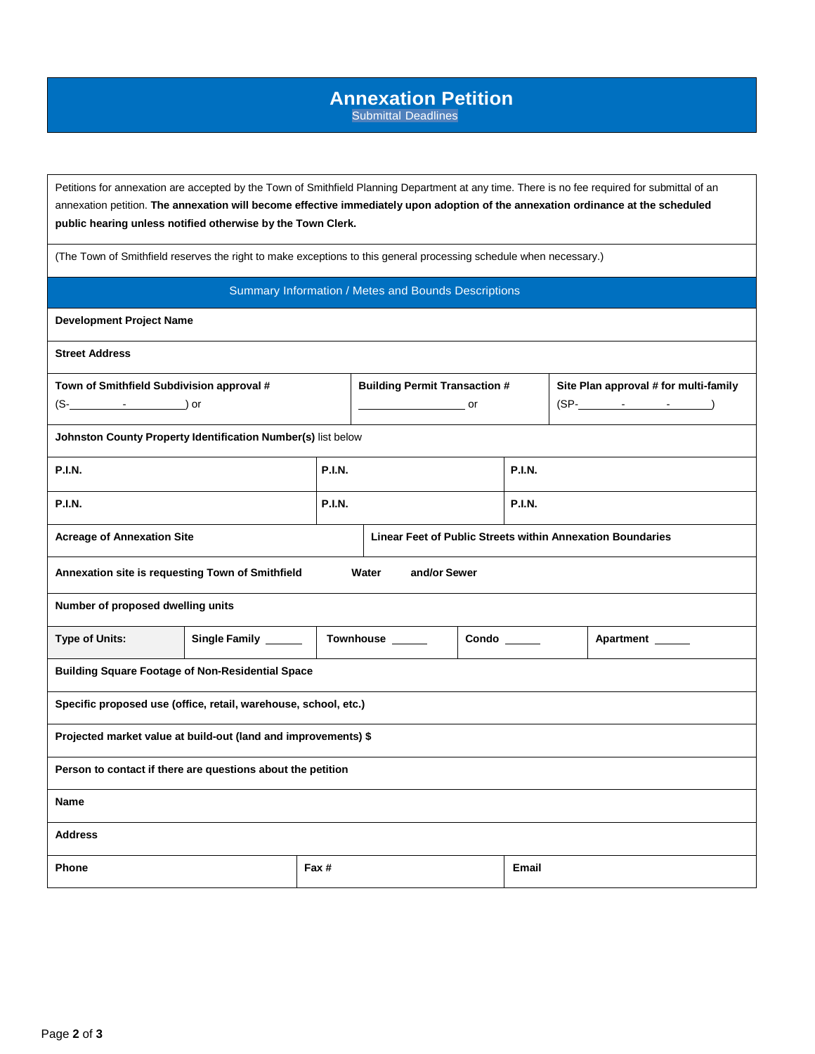# **Annexation Petition**

Submittal Deadlines

Petitions for annexation are accepted by the Town of Smithfield Planning Department at any time. There is no fee required for submittal of an annexation petition. **The annexation will become effective immediately upon adoption of the annexation ordinance at the scheduled public hearing unless notified otherwise by the Town Clerk.**

(The Town of Smithfield reserves the right to make exceptions to this general processing schedule when necessary.)

#### Summary Information / Metes and Bounds Descriptions

**Development Project Name**

**Street Address**

| Town of Smithfield Subdivision approval #<br>$(S )$ or                    |               |               | <b>Building Permit Transaction #</b><br><b>Solution Service Service Service Service</b> |  |               |               | Site Plan approval # for multi-family<br>$(SP-$ |  |
|---------------------------------------------------------------------------|---------------|---------------|-----------------------------------------------------------------------------------------|--|---------------|---------------|-------------------------------------------------|--|
| Johnston County Property Identification Number(s) list below              |               |               |                                                                                         |  |               |               |                                                 |  |
| <b>P.I.N.</b>                                                             |               | <b>P.I.N.</b> |                                                                                         |  | <b>P.I.N.</b> |               |                                                 |  |
| <b>P.I.N.</b>                                                             |               | <b>P.I.N.</b> |                                                                                         |  |               | <b>P.I.N.</b> |                                                 |  |
| <b>Acreage of Annexation Site</b>                                         |               |               | Linear Feet of Public Streets within Annexation Boundaries                              |  |               |               |                                                 |  |
| and/or Sewer<br>Annexation site is requesting Town of Smithfield<br>Water |               |               |                                                                                         |  |               |               |                                                 |  |
| Number of proposed dwelling units                                         |               |               |                                                                                         |  |               |               |                                                 |  |
| <b>Type of Units:</b>                                                     | Single Family |               | Townhouse _____<br>Condo                                                                |  |               |               | Apartment                                       |  |
| <b>Building Square Footage of Non-Residential Space</b>                   |               |               |                                                                                         |  |               |               |                                                 |  |
| Specific proposed use (office, retail, warehouse, school, etc.)           |               |               |                                                                                         |  |               |               |                                                 |  |
| Projected market value at build-out (land and improvements) \$            |               |               |                                                                                         |  |               |               |                                                 |  |
| Person to contact if there are questions about the petition               |               |               |                                                                                         |  |               |               |                                                 |  |
| <b>Name</b>                                                               |               |               |                                                                                         |  |               |               |                                                 |  |
| <b>Address</b>                                                            |               |               |                                                                                         |  |               |               |                                                 |  |
| Fax #<br><b>Phone</b>                                                     |               |               |                                                                                         |  | <b>Email</b>  |               |                                                 |  |